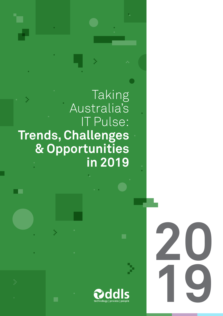Taking Australia's IT Pulse: Trends, Challenges & Opportunities in 2019

▔▆

þ.

nology | process | people

20 0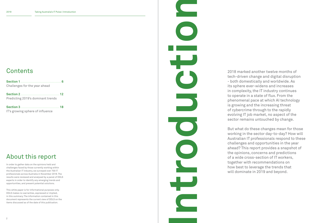# **Contents**

# About this report

In order to gather data on the opinions held and challenges faced by those currently working within the Australian IT industry, we surveyed over 700 IT professionals across Australia in November 2018. The results were reviewed and analysed by a panel of DDLS experts in order to identify any emerging trends and opportunities, and present potential solutions.

This white paper is for informational purposes only. DDLS makes no warranties, expressed or implied, in this summary. The information contained in this document represents the current view of DDLS on the items discussed as of the date of this publication.

| Challenges for the year ahead     |    |
|-----------------------------------|----|
|                                   | 12 |
| Predicting 2019's dominant trends |    |
|                                   |    |

Introduction.  $\overline{\phantom{0}}$ 

- 
- 

IT's growing sphere of influence

2018 marked another twelve months of tech-driven change and digital disruption - both domestically and worldwide. As its sphere ever-widens and increases in complexity, the IT industry continues to operate in a state of flux. From the phenomenal pace at which AI technology is growing and the increasing threat of cybercrime through to the rapidly evolving IT job market, no aspect of the sector remains untouched by change.

But what do these changes mean for those working in the sector day-to-day? How will Australian IT professionals respond to these challenges and opportunities in the year ahead? This report provides a snapshot of the opinions, concerns and predictions of a wide cross-section of IT workers, together with recommendations on how best to leverage the trends that will dominate in 2019 and beyond.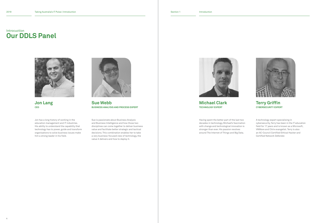



Sue Webb BUSINESS ANALYSIS AND PROCESS EXPERT

Sue is passionate about Business Analysis and Business Intelligence and how those two disciplines can come together to deliver business value and facilitate better strategic and tactical decisions. This combination enables her to take a very business-focused view of technology, the value it delivers and how to deploy it.



### Michael Clark TECHNOLOGY EXPERT

Having spent the better part of the last two decades in technology, Michael's fascination with change and technological innovation is stronger than ever. His passion revolves around The Internet of Things and Big Data.



Jon Lang CEO

Jon has a long history of working in the education management and IT industries. His ability to understand the capability that technology has to power, guide and transform organisations to solve business issues make him a strong leader in his field.

### Terry Griffin CYBERSECURITY EXPERT

A technology expert specialising in cybersecurity, Terry has been in the IT education field for 17 years and is known as a Microsoft, VMWare and Citrix evangelist. Terry is also an AC-Council Certified Ethical Hacker and Certified Network Defender.

# Our DDLS Panel Introcuction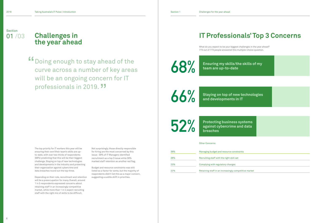39%

28%

23%

22%

The top priority for IT workers this year will be ensuring their own/their team's skills are upto-date, with over two thirds of respondents (68%) predicting that this will be their biggest challenge. Staying on top of new technologies and developments in the industry and protecting their organisation against cybercrime and data breaches round out the top three.

Depending on their role, recruitment and retention will be a preoccupation for many. Overall, around 1 in 5 respondents expressed concerns about retaining staff in an increasingly competitive market, while more than 1 in 4 expect recruiting staff with the right mix of skills to be difficult.

|     | <b>IT Professionals' Top 3 Concerns</b>                                                                                              |  |  |  |  |
|-----|--------------------------------------------------------------------------------------------------------------------------------------|--|--|--|--|
|     | What do you expect to be your biggest challenges in the year ahead?<br>773 out of 773 people answered this multiple-choice question. |  |  |  |  |
| 68% | Ensuring my skills/the skills of my<br>team are up-to-date                                                                           |  |  |  |  |
|     |                                                                                                                                      |  |  |  |  |
| 66% | <b>Staying on top of new technologies</b><br>and developments in IT                                                                  |  |  |  |  |
|     |                                                                                                                                      |  |  |  |  |
| 52% | <b>Protecting business systems</b><br>against cybercrime and data<br>breaches                                                        |  |  |  |  |
|     | <b>Other Concerns:</b>                                                                                                               |  |  |  |  |
| 39% | Managing budget and resource constraints                                                                                             |  |  |  |  |
| 28% | Recruiting staff with the right skill set                                                                                            |  |  |  |  |
| 23% | Complying with regulatory changes                                                                                                    |  |  |  |  |
| 22% | Retaining staff in an increasingly competitive market                                                                                |  |  |  |  |

Not surprisingly, those directly responsible for hiring are the most concerned by this issue: 59% of IT Managers identified recruitment as a top 3 issue while 39% marked staff retention as another red flag.

Budget and resource constraints was still listed as a factor for some, but the majority of respondents didn't list this as a major concern, suggesting a subtle shift in priorities.

# Challenges in the year ahead

Section 01 /03

> Doing enough to stay ahead of the curve across a number of key areas will be an ongoing concern for IT professionals in 2019.<sup>11</sup> "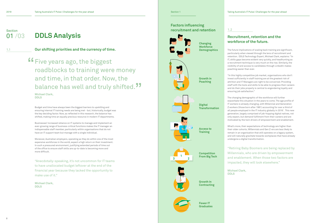Access to **Training** 

Growth in Poaching

**Digital Transformation** 

**Competition** From Big Tech

Fewer IT **Graduates** 

Growth In **Contracting** 



8

Budget and time have always been the biggest barriers to upskilling and ensuring internal IT training needs are being met - but, historically, budget was the key deciding factor. Now, as reflected in this research, the balance has shifted, making time an equally precious resource in modern IT departments.

Businesses' increased reliance on IT systems to manage and implement an ever-growing range of business-critical functions makes the IT manager an indispensable staff member, particularly within organisations that do not have an IT support team but manage with a single individual.

Moreover, Australian employers, operating as they do within one of the most expensive workforces in the world, expect a high return on their investment. In such a pressured environment, justifying extended periods of time out of the office to ensure staff skills are up-to-date is becoming more and more difficult.

"Anecdotally-speaking, it's not uncommon for IT teams to have unallocated budget leftover at the end of the financial year because they lacked the opportunity to make use of it."

Michael Clark, DDLS



## Recruitment, retention and the workforce of the future.

### Factors influencing Section **recruitment and retention**



**Changing Workforce Demographics** 

 $\overrightarrow{\phantom{a}}$ 

The future implications of scaling back training are significant, particularly when viewed through the lens of recruitment and retention. DDLS Technology Expert, Michael Clark, explains: "In IT, skills gaps become evident very quickly, and headhunting as a recruitment technique is very much on the rise. Similarly, the visibility of and access to candidates through LinkedIn makes poaching easier than ever.

"In this highly competitive job market, organisations who don't invest sufficiently in staff training are at the greatest risk of attrition and IT Managers are right to be concerned. Providing staff with the tools and skills to be able to progress their careers and do their jobs properly is central to engendering loyalty and ensuring job satisfaction."

The changing demographic of the workforce will further exacerbate this situation in the years to come. The age profile of IT workers is already changing, with Millennial and Generation Z workers (those born after 1981) accounting for over a third of all people employed in the IT industry globally in 2016<sup>1</sup>. This new generation, largely comprised of job-hopping digital natives, not only expect, but demand fulfilment from their careers and are motivated by the twin drivers of empowerment and enablement.

What's more, their expectations of technology are higher than their older cohorts; MIllennials and Gen Z-ers are less likely to remain in an organisation that still operates on a legacy system, and will naturally gravitate towards workplaces that have already undergone a digital transformation.

"Retiring Baby Boomers are being replaced by Millennials, who are driven by empowerment and enablement. When those two factors are impacted, they will look elsewhere."

Michael Clark, DDLS

1.1

1.2

## 01 /03 DDLS Analysis

Our shifting priorities and the currency of time.

**"The years ago, the biggest roadblocks to training were** roadblocks to training were money and time, in that order. Now, the balance has well and truly shifted. ,<br>,<br>,

Michael Clark, DDLS

> 1 3 2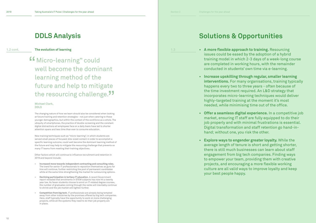#### Michael Clark, DDLS

The changing nature of how we learn should also be considered when looking at future training and retention strategies - not just when catering to these younger demographics, but within the context of the workforce as a whole. The ubiquity of smartphones, the practice of double-screening and the constant digital distractions all employees face on a daily basis have led to shorter attention spans and less time than ever to consume education.

New training techniques such as "micro-learning", in which students are served small pieces of focused, bite-sized content in order to accomplish a specific learning outcome, could well become the dominant learning method of the future and may help to mitigate the resourcing challenge that prevents so many IT teams from meeting their training objectives.

Other factors which will continue to influence recruitment and retention in 2019 and beyond include:

- Increased move towards independent contracting and consulting roles. The trend for senior IT professionals to reposition themselves as guns for hire will continue, further restricting the pool of permanent candidates while at the same time strengthening the market for outsourcing options.
- Declining participation in tertiary IT education. A recent Government report revealed that enrolments in STEM subjects has now hit a twenty year low. As fewer students choose to enrol on IT-related degree courses, the number of graduates coming through the ranks will inevitably continue to shrink and the job market will tighten further.
- Competition from big tech. IT professionals are already being tempted away from other industries by the promises offered by big tech companies. Here, staff typically have the opportunity to work on more challenging projects, while all the systems they need to do their job properly are in place.

• A more flexible approach to training. Resourcing issues could be eased by the adoption of a hybrid training model in which 2-3 days of a week-long course are completed in working hours, with the remainder conducted in students' own time via e-learning.

• Increase upskilling through regular, smaller learning interventions. For many organisations, training typically happens every two to three years - often because of the time investment required. An L&D strategy that incorporates micro-learning techniques would deliver highly-targeted training at the moment it's most needed, while minimising time out of the office.

• Offer a seamless digital experience. In a competitive job market, ensuring IT staff are fully equipped to do their job properly and with minimal frustrations is essential. Digital transformation and staff retention go hand-in-

- 
- 
- hand; without one, you risk the other.
- your best people happy.

• Explore ways to engender greater loyalty. While the average length of tenure is short and getting shorter, there is still much businesses can learn about staff engagement from big tech companies. Finding ways to empower your team, providing them with creative projects, and encouraging a more flexible working culture are all valid ways to improve loyalty and keep

# Solutions & Opportunities

# DDLS Analysis

**1.2** cont. **The evolution of learning the example of the control of the control of the control of the control of the control of the control of the control of the control of the control of the control of the control of the** 

**"CALCO-LEART COULD EXAMPLE STANDER COULD** Well become the doming well become the dominant learning method of the future and help to mitigate the resourcing challenge."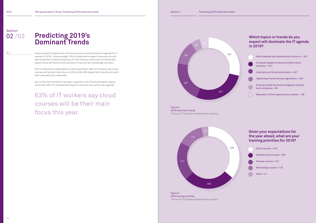## Which topics or trends do you expect will dominate the IT agenda in 2019?

| Data breaches and cybersecurity concerns - 541                    |
|-------------------------------------------------------------------|
| Increased uptake of cloud and hybrid cloud<br>solutions $-521$    |
| Implications of AI and automation-407                             |
| Tightening of online privacy regulations-233                      |
| Growing market dominance/oligopoly of global<br>tech companies-95 |
| Maturation of the cryptocurrency market - 85                      |

Cloud courses—479 Cybersecurity courses—353 Process courses—271 Networking courses—175 Other—47





### Given your expectations for the year ahead, what are your training priorities for 2019?

**Section** 02 /03

> Issues related to cybercrime and cloud solutions will dominate the agenda for IT workers in 2019. Unsurprisingly, 70% of respondents expect cybersecurity and data breaches to remain a big focus for the industry, while over two thirds also expect cloud and hybrid cloud solutions to become an increasingly hot topic.

This is reflected by organisations' training priorities: 63% of IT workers say cloud courses will be their main focus in 2019, while 46% stated their intention to build their cybersecurity credentials.

Also in the top 3 trends for next year is growth in the AI and automation space; more than half of IT professionals expect to see this rise up the news agenda.

63% of IT workers say cloud courses will be their main focus this year.

# Predicting 2019's Dominant Trends

Figure 3: 2019 training priorities 773 out of 773 people answered this question.

Figure 2: 2019's dominant trends 773 out of 773 people answered this question.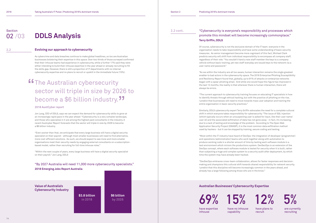14





As cybercrime and data breaches continue to make global headlines, so too are Australian businesses bolstering their expertise in this space. Over two thirds of those surveyed confirmed that their inhouse teams had experience in cybersecurity, while a further 17% said they were either intending to build their inhouse expertise in the year ahead or already recruiting to fill the skills gap. However, there is still a proportion of IT departments with no internal cybersecurity expertise and no plans to recruit or upskill in the immediate future (15%).

# **"The Australian cybersecurity<br>
sector will triple in size by 20** sector will triple in size by 2026 to become a \$6 billion industry.<sup>77</sup>

#### 2018 AustCyber report

Jon Lang, CEO of DDLS, says we can expect the demand for cybersecurity skills to grow at an increasingly rapid pace in the year ahead: "Cybersecurity is a very complex landscape, and those who specialise in it are among the highest paid consultants in the industry. A recent Austcyber Report forecasts that the sector will triple in size by 2026 to become a \$6 billion industry.

"Even sooner than that, we anticipate that every large business will have a digital security specialist on their payroll - although most smaller businesses will need to find alternative, more cost-efficient solutions. As such, we should expect to see more and more smaller organisations meet their security needs by engaging external consultants on a subscriptionbased model, rather than recruiting for full-time inhouse roles."

"Within the next couple of years, every large business will have a digital security specialist on their payroll." Jon Lang, DDLS

### "By 2027 Australia will need 11,000 more cybersecurity specialists." 2018 Emerging Jobs Report Australia

## "Cybersecurity is everyone's responsibility and processes which promote this mindset will become increasingly commonplace." Terry Griffin, DDLS

Of course, cybersecurity is not the exclusive domain of the IT team: everyone in the organisation needs to take responsibility and have some understanding of basic security measures. As senior management become more cognisant of this fact, Michael Clark predicts security will shift from individual responsibility to encompass all company staff, regardless of their role: "You wouldn't hand a new staff member the keys to a company vehicle without basic training, yet new staff everyday are issued keys to the network via a user name and password."

**Section** 02 /03

> "As we within the industry are all too aware, human interaction remains the single greatest enabler to bad actors in the cybersecurity space. The 2016 Enterprise Phishing Susceptibility and Resiliency Report found that, globally, up to 91% of attacks on enterprise networks began with a spear phishing email. And while one would hope this figure has improved in the last 12 months, the reality is that wherever there is human interaction, there will always be errors.

"The current approach to cybersecurity training focuses on educating IT specialists in how to identify threats through ethical hacking, but with the practice of phishing on the rise, I predict that businesses will need to move towards mass user adoption and training the entire organisation in basic security practices."

Similarly, DDLS cybersecurity expert Terry Griffin advocates the need for a complete cultural shift in which everyone takes responsibility for cybersecurity. "The issue of SQL injection (which typically occurs when an unsuspecting user is asked for input, like their user name/ user id) and the associated exfiltration of data has not gone away - in fact, it's increasing, due to a lack of testing and knowledge of the problem. According to The Open Web Application Security Project (OWASP), it is the most common data exfiltration method used by hackers - but it can be stopped by training, secure coding and testing.

"Most within the IT industry have heard of DevOps: the integration of developer (programmer) and operations (administrator) teams who work together along with automation to produce working code in a shorter amount of time by testing each software module in a test environment which mirrors the productions system. DevSecOps is an extension of the DevOps concept, where each software module is tested for security when it is built, rather than subjecting a huge and complex system to a security audit after deployment, by which time the system may have already been hacked.

"DevSecOps embraces cross-team collaboration, allows for faster responses and decisionmaking and champions this cultural shift towards shared responsibility for network security. I predict that this discipline will become increasingly common in the years ahead, and already has a large following among those who are in the know."

2.2

2.2 cont.

# DDLS Analysis

### Evolving our approach to cybersecurity

Value of Australia's Cybersecurity Industry

### Australian Businesses' Cybersecurity Expertise

 $69\%$  15% 12%

\$3.8 billion in 2018

\$6 billion by 2026

have expertise inhouse

have no inhouse capability

have plans to recruit

are currently recruiting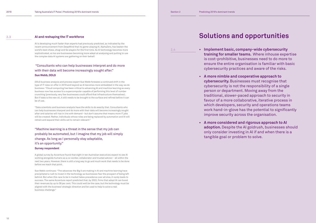2.3

2.4

## • Implement basic, company-wide cybersecurity

training for smaller teams. Where inhouse expertise is cost-prohibitive, businesses need to do more to ensure the entire organisation is familiar with basic cybersecurity practices and aware of the risks.

## • A more nimble and cooperative approach to

cybersecurity. Businesses must recognise that cybersecurity is not the responsibility of a single person or department. Moving away from the traditional, slower-paced approach to security in favour of a more collaborative, iterative process in which developers, security and operations teams work hand-in-glove has the potential to significantly improve security across the organisation.

## • A more considered and rigorous approach to AI

adoption. Despite the AI goldrush, businesses should only consider investing in AI if and when there is a

- 
- 
- tangible goal or problem to solve.

### AI and reshaping the IT workforce

AI is developing much faster than experts had previously predicted, as indicated by the recent announcement from DeepMind that its game-playing AI, AlphaZero, has beaten the world's best chess, shogi and Go players for the first time. As AI technology becomes more sophisticated, so too are businesses becoming more adept at analysing and putting to use the complex data AI systems are gathering on their behalf.

### "Consultants who can help businesses interpret and do more with their data will become increasingly sought after." Sue Webb, DDLS

DDLS business analysis and process expert Sue Webb foresees a continued shift in the type of IT roles on offer in 2019 and beyond as AI becomes more embedded in the way we do business: "Cloud computing has been critical to advancing AI and machine learning as every business now has access to a supercomputer capable of performing this level of number crunching (previously, very few businesses could afford that infrastructure themselves). But if data is the new oil, it still needs to be brought to the surface and refined before it can be of use.

"Data scientists and business analysts have the skills to do exactly that. Consultants who can help businesses interpret and do more with their data will become increasingly sought after and salaries will rise in line with demand - but don't assume that means more IT jobs will be created. Rather, individuals whose roles are being replaced by automation and AI will retrain and expand their skills set to remain relevant."

"Machine learning is a threat in the sense that my job can probably be automated, but I imagine that my job will simply change. As long as I personally stay adaptable, it's an opportunity."

#### Survey respondent

A global survey by Accenture found that eight in ten Australian executives expect to see AI working alongside humans as a co-worker, collaborator and trusted advisor - all within the next two years. However, there is still a long way to go and much work that needs to be done before we reach that point.

Sue Webb continues: "The advances the Big 5 are making in AI and machine learning have precipitated a rush to invest in the technology as businesses fear the prospect of being left behind. But when this race to be in market takes precedence over all else, it rarely leads to success. The same Accenture report predicted that, by 2022, firms that adopt AI can boost their revenues by up to 38 per cent. This could well be the case, but the technology must be aligned with the business' strategic direction and be used to help to solve a real business challenge."

# Solutions and opportunities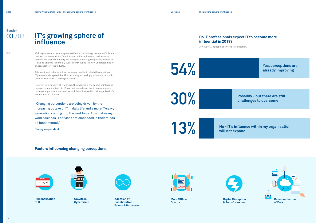3.1

Growth in **Cybercrime** 

Personalisation of IT





More CTOs on Boards



Digital Disruption & Transformation



Adoption of **Collaborative** Teams & Processes

With organisations becoming more reliant on technology to create efficiencies, perform business-critical functions and enhance financial performance, perceptions of the IT industry are changing. Similarly, the personalisation of IT and its ubiquity in our daily lives is contributing to a new understanding of and respect for - the industry.

This sentiment is borne out by the survey results, in which the majority of IT professionals agreed that IT is becoming increasingly influential, and will become even more so in the year ahead.

However, for a minority of IT workers, the changes in IT's sphere of influence have yet to materialise. 1 in 10 say their department is still seen more as a business support function, and as such is not involved in their organisation's leadership and direction.

"Changing perceptions are being driven by the increasing uptake of IT in daily life and a more IT-savvy generation coming into the workforce. This makes my work easier as IT services are embedded in their minds as fundamental."

Survey respondent.

# IT's growing sphere of influence

# Section 03 /03

54%

30%

will not expand

Possibly - but there are still challenges to overcome

Yes, perceptions are already improving

**13% No - IT's influence within my organisation**<br>Will not expand





Factors influencing changing perceptions:

767 out of 773 people answered this question.



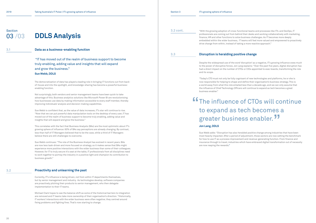3.1

3.2

# DDLS Analysis

Data as a business-enabling function

 "IT has moved out of the realm of business support to become truly enabling, adding value and insights that will expand and grow the business." Sue Webb, DDLS

The democratisation of data has played a leading role in bringing IT functions out from backof-house and into the spotlight, and knowledge-sharing has become a powerful businessenabling function.

Not surprisingly, both vendors and senior management teams have been quick to take advantage of this. Business analytics solutions like Microsoft Power BI are revolutionising how businesses use data by making information accessible to every staff member, thereby improving individuals' analysis and decision-making capabilities.

Sue Webb is confident that, as the value of data increases, IT's star will continue to rise. "Now that we can put powerful data manipulation tools on the desktop of every user, IT has moved out of the realm of business support to become truly enabling, adding value and insights that will expand and grow the business."

This correlates with the fact that Business Analysts (BAs) are the most optimistic about IT's growing sphere of influence: 63% of BAs say perceptions are already changing. By contrast, less than half of IT Managers believed that to be the case, while a third of IT Managers believe there are still challenges to overcome.

Sue Webb continues: "The role of the Business Analyst has evolved in recent years. BAs are now less task-driven and more focused on strategy, so it makes sense that BAs might experience more positive interactions with the wider business than some of their colleagues. However, for IT to truly secure it's seat at the table, IT professionals from all disciplines need to work together to portray the industry in a positive light and champion its contribution to business growth."

# The influence of CTOs will continue to expand as tech becomes a greater business enabler.<sup>77</sup> "<br>"

### Proactivity and unlearning the past

Currently, IT's influence is being driven, not from within IT departments themselves, but by senior management and industry. As technologies develop, software companies are proactively pitching their products to senior management, who then delegate implementation to their IT teams.

Michael Clark hopes to see the balance shift as some of the historical barriers to integration are removed and IT teams take more ownership of their organisation's direction. "Historically, IT workers' interactions with the wider business were often negative; they centred around fixing problems and fighting fires. That's now starting to change.

| Section 3 |  |  |
|-----------|--|--|
|           |  |  |
|           |  |  |
|           |  |  |

"With the growing adoption of cross-functional teams and processes like ITIL and DevOps, IT professionals are coming out from behind their desks and working collaboratively with marketing, finance, HR and other functions to solve business challenges. As IT becomes more deeply embedded within the wider business, IT teams will feel more valued and empowered to proactively drive change from within, instead of taking a more reactive approach."

### Disruption is heralding positive change

Despite the widespread use of the word 'disruption' as a negative, IT's growing influence owes much to the power of disruptive forces. Jon Lang explains: "Over the past five years, digital disruption has had a direct impact on the number of CTOs or CIOs appointed to exec boards, transforming the role

and its scope.

"Today's CTO must not only be fully cognisant of new technologies and platforms, he or she is now responsible for helping to shape and define their organisation's business strategy. This is a world away from what this role entailed less than a decade ago, and we can only assume that the influence of Chief Technology Officers will continue to expand as tech becomes a great business enabler."

### Jon Lang, DDLS

Sue Webb adds: "Disruption has also heralded positive change among industries that have been most heavily impacted. After a period of adjustment, those sectors are now setting the benchmark for how to use IT as a process improvement and revenue-generating function. From finance and insurance through to travel, industries which have embraced digital transformation out of necessity are now reaping the rewards."

3.2 cont.

3.3

Section 03 /03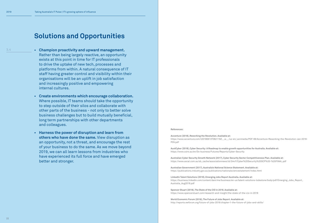# Solutions and Opportunities

- Champion proactivity and upward management. Rather than being largely reactive, an opportunity exists at this point in time for IT professionals to drive the uptake of new tech, processes and platforms from within. A natural consequence of IT staff having greater control and visibility within their organisations will be an uplift in job satisfaction and increasingly positive and empowering internal cultures.
	- Create environments which encourage collaboration. Where possible, IT teams should take the opportunity to step outside of their silos and collaborate with other parts of the business - not only to better solve business challenges but to build mutually beneficial, long term partnerships with other departments and colleagues.
	- Harness the power of disruption and learn from others who have done the same. View disruption as an opportunity, not a threat, and encourage the rest of your business to do the same. As we move beyond 2019, we can all learn lessons from industries who have experienced its full force and have emerged better and stronger.

3.4

#### References:

Accenture (2018), Reworking the Revolution. Available at: https://www.accenture.com/t20180613T062119Z\_\_w\_\_/us-en/\_acnmedia/PDF-69/Accenture-Reworking-the-Revolution-Jan-2018- POV.pdf

AustCyber (2018), Cyber Security: A Roadmap to enable growth opportunities for Australia. Available at: https://www.csiro.au/en/Do-business/Futures/Reports/Cyber-Security

Australian Cyber Security Growth Network (2017), Cyber Security Sector Competitiveness Plan. Available at: https://www.avcal.com.au/sb\_cache/associationnews/id/244/f/Cyber%20Security%20SCP%20-%20FINAL.pdf

Australian Government (2017), Australia's National Science Statement. Available at: https://publications.industry.gov.au/publications/nationalsciencestatement/index.html

LinkedIn Talent Solutions (2018), Emerging Jobs Report Australia. Available at: https://business.linkedin.com/content/dam/me/business/en-us/talent-solutions-lodestone/body/pdf/Emerging\_Jobs\_Report\_ Australia\_Aug2018.pdf

Spencer Stuart (2018), The State of the CIO in 2018. Available at: https://www.spencerstuart.com/research-and-insight/the-state-of-the-cio-in-2018

World Economic Forum (2016), The Future of Jobs Report. Available at: http://reports.weforum.org/future-of-jobs-2016/chapter-1-the-future-of-jobs-and-skills/